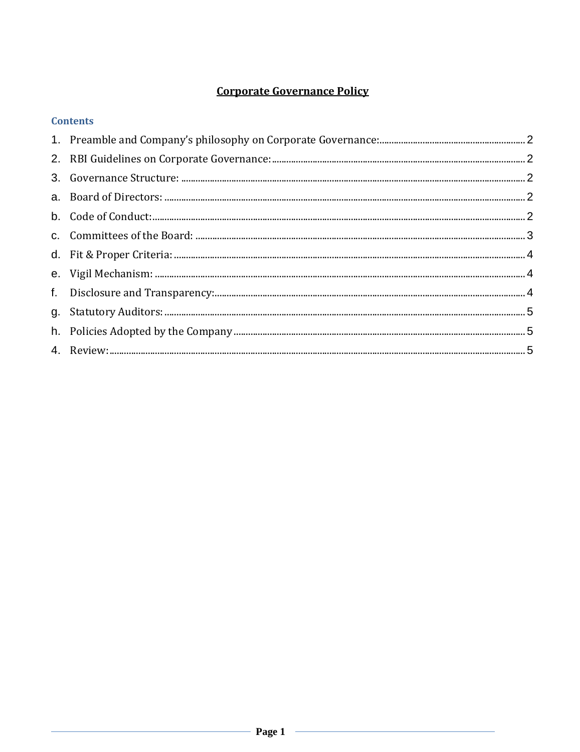# **Corporate Governance Policy**

| <b>Contents</b> |  |
|-----------------|--|
|                 |  |
|                 |  |
|                 |  |
|                 |  |
|                 |  |
|                 |  |
|                 |  |
|                 |  |
|                 |  |
|                 |  |
|                 |  |
|                 |  |
|                 |  |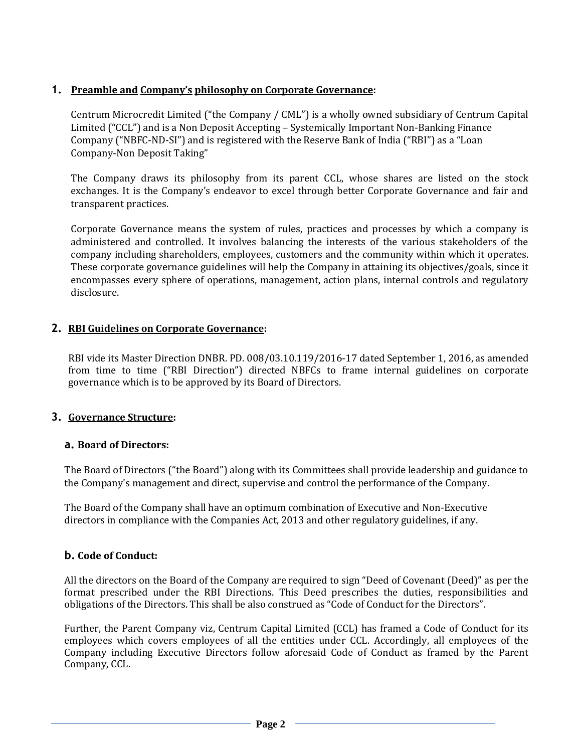## <span id="page-1-0"></span>**1. Preamble and Company's philosophy on Corporate Governance:**

Centrum Microcredit Limited ("the Company / CML") is a wholly owned subsidiary of Centrum Capital Limited ("CCL") and is a Non Deposit Accepting – Systemically Important Non-Banking Finance Company ("NBFC-ND-SI") and is registered with the Reserve Bank of India ("RBI") as a "Loan Company-Non Deposit Taking"

The Company draws its philosophy from its parent CCL, whose shares are listed on the stock exchanges. It is the Company's endeavor to excel through better Corporate Governance and fair and transparent practices.

Corporate Governance means the system of rules, practices and processes by which a company is administered and controlled. It involves balancing the interests of the various stakeholders of the company including shareholders, employees, customers and the community within which it operates. These corporate governance guidelines will help the Company in attaining its objectives/goals, since it encompasses every sphere of operations, management, action plans, internal controls and regulatory disclosure.

## **2. RBI Guidelines on Corporate Governance:**

RBI vide its Master Direction DNBR. PD. 008/03.10.119/2016-17 dated September 1, 2016, as amended from time to time ("RBI Direction") directed NBFCs to frame internal guidelines on corporate governance which is to be approved by its Board of Directors.

## **3. Governance Structure:**

## **a. Board of Directors:**

The Board of Directors ("the Board") along with its Committees shall provide leadership and guidance to the Company's management and direct, supervise and control the performance of the Company.

The Board of the Company shall have an optimum combination of Executive and Non-Executive directors in compliance with the Companies Act, 2013 and other regulatory guidelines, if any.

## **b. Code of Conduct:**

All the directors on the Board of the Company are required to sign "Deed of Covenant (Deed)" as per the format prescribed under the RBI Directions. This Deed prescribes the duties, responsibilities and obligations of the Directors. This shall be also construed as "Code of Conduct for the Directors".

Further, the Parent Company viz, Centrum Capital Limited (CCL) has framed a Code of Conduct for its employees which covers employees of all the entities under CCL. Accordingly, all employees of the Company including Executive Directors follow aforesaid Code of Conduct as framed by the Parent Company, CCL.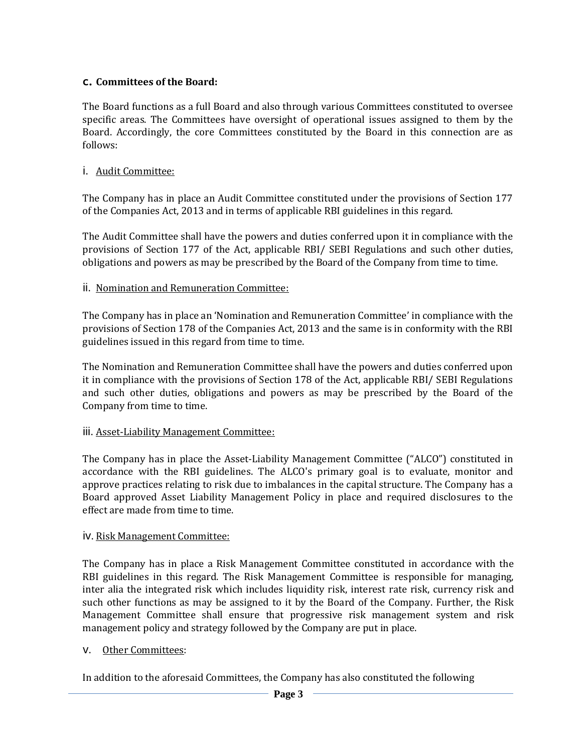## <span id="page-2-0"></span>**c. Committees of the Board:**

The Board functions as a full Board and also through various Committees constituted to oversee specific areas. The Committees have oversight of operational issues assigned to them by the Board. Accordingly, the core Committees constituted by the Board in this connection are as follows:

# i. Audit Committee:

The Company has in place an Audit Committee constituted under the provisions of Section 177 of the Companies Act, 2013 and in terms of applicable RBI guidelines in this regard.

The Audit Committee shall have the powers and duties conferred upon it in compliance with the provisions of Section 177 of the Act, applicable RBI/ SEBI Regulations and such other duties, obligations and powers as may be prescribed by the Board of the Company from time to time.

# ii. Nomination and Remuneration Committee:

The Company has in place an 'Nomination and Remuneration Committee' in compliance with the provisions of Section 178 of the Companies Act, 2013 and the same is in conformity with the RBI guidelines issued in this regard from time to time.

The Nomination and Remuneration Committee shall have the powers and duties conferred upon it in compliance with the provisions of Section 178 of the Act, applicable RBI/ SEBI Regulations and such other duties, obligations and powers as may be prescribed by the Board of the Company from time to time.

## iii. Asset-Liability Management Committee:

The Company has in place the Asset-Liability Management Committee ("ALCO") constituted in accordance with the RBI guidelines. The ALCO's primary goal is to evaluate, monitor and approve practices relating to risk due to imbalances in the capital structure. The Company has a Board approved Asset Liability Management Policy in place and required disclosures to the effect are made from time to time.

## iv. Risk Management Committee:

The Company has in place a Risk Management Committee constituted in accordance with the RBI guidelines in this regard. The Risk Management Committee is responsible for managing, inter alia the integrated risk which includes liquidity risk, interest rate risk, currency risk and such other functions as may be assigned to it by the Board of the Company. Further, the Risk Management Committee shall ensure that progressive risk management system and risk management policy and strategy followed by the Company are put in place.

## v. Other Committees:

In addition to the aforesaid Committees, the Company has also constituted the following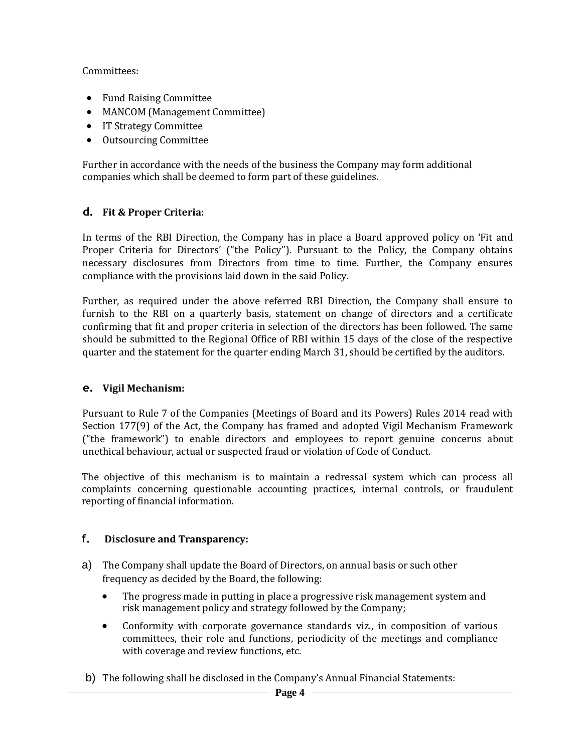<span id="page-3-0"></span>Committees:

- Fund Raising Committee
- MANCOM (Management Committee)
- IT Strategy Committee
- Outsourcing Committee

Further in accordance with the needs of the business the Company may form additional companies which shall be deemed to form part of these guidelines.

# **d. Fit & Proper Criteria:**

In terms of the RBI Direction, the Company has in place a Board approved policy on 'Fit and Proper Criteria for Directors' ("the Policy"). Pursuant to the Policy, the Company obtains necessary disclosures from Directors from time to time. Further, the Company ensures compliance with the provisions laid down in the said Policy.

Further, as required under the above referred RBI Direction, the Company shall ensure to furnish to the RBI on a quarterly basis, statement on change of directors and a certificate confirming that fit and proper criteria in selection of the directors has been followed. The same should be submitted to the Regional Office of RBI within 15 days of the close of the respective quarter and the statement for the quarter ending March 31, should be certified by the auditors.

## **e. Vigil Mechanism:**

Pursuant to Rule 7 of the Companies (Meetings of Board and its Powers) Rules 2014 read with Section 177(9) of the Act, the Company has framed and adopted Vigil Mechanism Framework ("the framework") to enable directors and employees to report genuine concerns about unethical behaviour, actual or suspected fraud or violation of Code of Conduct.

The objective of this mechanism is to maintain a redressal system which can process all complaints concerning questionable accounting practices, internal controls, or fraudulent reporting of financial information.

## **f. Disclosure and Transparency:**

- a) The Company shall update the Board of Directors, on annual basis or such other frequency as decided by the Board, the following:
	- The progress made in putting in place a progressive risk management system and risk management policy and strategy followed by the Company;
	- Conformity with corporate governance standards viz., in composition of various committees, their role and functions, periodicity of the meetings and compliance with coverage and review functions, etc.
- b) The following shall be disclosed in the Company's Annual Financial Statements: